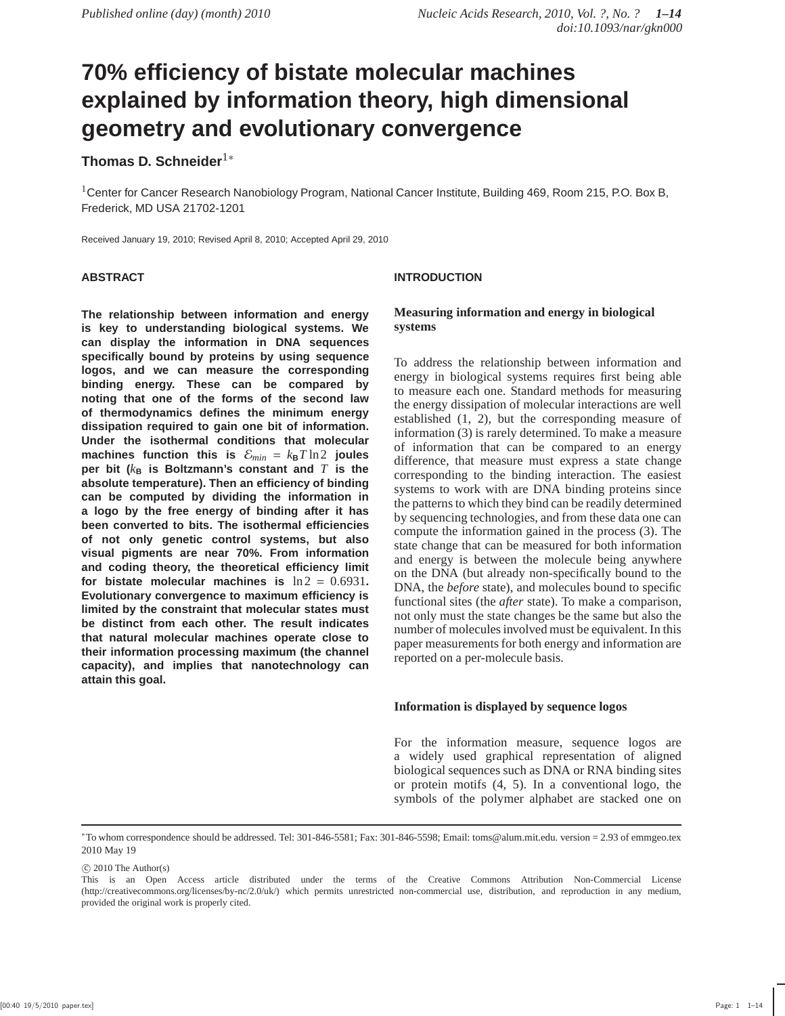# **70% efficiency of bistate molecular machines explained by information theory, high dimensional geometry and evolutionary convergence**

# **Thomas D. Schneider**1<sup>∗</sup>

<sup>1</sup>Center for Cancer Research Nanobiology Program, National Cancer Institute, Building 469, Room 215, P.O. Box B, Frederick, MD USA 21702-1201

Received January 19, 2010; Revised April 8, 2010; Accepted April 29, 2010

## **ABSTRACT**

**The relationship between information and energy is key to understanding biological systems. We can display the information in DNA sequences specifically bound by proteins by using sequence logos, and we can measure the corresponding binding energy. These can be compared by noting that one of the forms of the second law of thermodynamics defines the minimum energy dissipation required to gain one bit of information. Under the isothermal conditions that molecular machines function this is**  $\mathcal{E}_{min} = k_B T \ln 2$  **joules per bit** ( $k_{\text{B}}$  is Boltzmann's constant and  $T$  is the **absolute temperature). Then an efficiency of binding can be computed by dividing the information in a logo by the free energy of binding after it has been converted to bits. The isothermal efficiencies of not only genetic control systems, but also visual pigments are near 70%. From information and coding theory, the theoretical efficiency limit** for bistate molecular machines is  $\ln 2 = 0.6931$ . **Evolutionary convergence to maximum efficiency is limited by the constraint that molecular states must be distinct from each other. The result indicates that natural molecular machines operate close to their information processing maximum (the channel capacity), and implies that nanotechnology can attain this goal.**

## **INTRODUCTION**

## **Measuring information and energy in biological systems**

To address the relationship between information and energy in biological systems requires first being able to measure each one. Standard methods for measuring the energy dissipation of molecular interactions are well established (1, 2), but the corresponding measure of information (3) is rarely determined. To make a measure of information that can be compared to an energy difference, that measure must express a state change corresponding to the binding interaction. The easiest systems to work with are DNA binding proteins since the patterns to which they bind can be readily determined by sequencing technologies, and from these data one can compute the information gained in the process (3). The state change that can be measured for both information and energy is between the molecule being anywhere on the DNA (but already non-specifically bound to the DNA, the *before* state), and molecules bound to specific functional sites (the *after* state). To make a comparison, not only must the state changes be the same but also the number of molecules involved must be equivalent. In this paper measurements for both energy and information are reported on a per-molecule basis.

### **Information is displayed by sequence logos**

For the information measure, sequence logos are a widely used graphical representation of aligned biological sequences such as DNA or RNA binding sites or protein motifs (4, 5). In a conventional logo, the symbols of the polymer alphabet are stacked one on

<sup>∗</sup>To whom correspondence should be addressed. Tel: 301-846-5581; Fax: 301-846-5598; Email: toms@alum.mit.edu. version = 2.93 of emmgeo.tex 2010 May 19

 $\odot$  2010 The Author(s)

This is an Open Access article distributed under the terms of the Creative Commons Attribution Non-Commercial License (http://creativecommons.org/licenses/by-nc/2.0/uk/) which permits unrestricted non-commercial use, distribution, and reproduction in any medium, provided the original work is properly cited.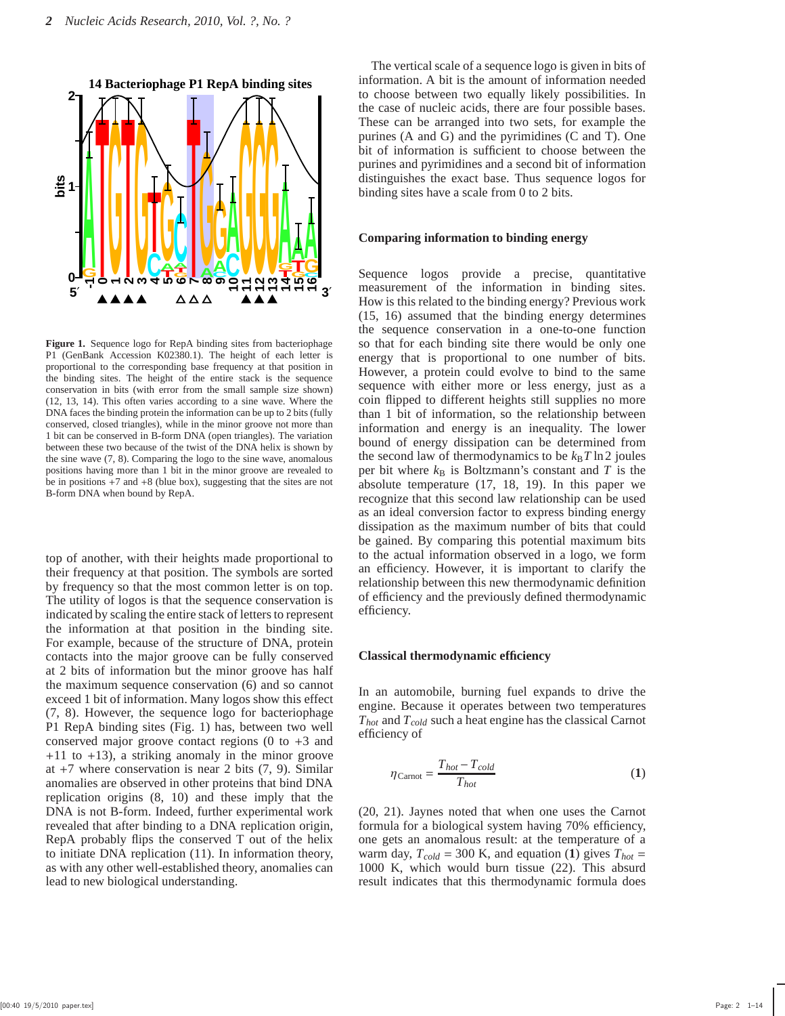

**Figure 1.** Sequence logo for RepA binding sites from bacteriophage P1 (GenBank Accession K02380.1). The height of each letter is proportional to the corresponding base frequency at that position in the binding sites. The height of the entire stack is the sequence conservation in bits (with error from the small sample size shown) (12, 13, 14). This often varies according to a sine wave. Where the DNA faces the binding protein the information can be up to 2 bits (fully conserved, closed triangles), while in the minor groove not more than 1 bit can be conserved in B-form DNA (open triangles). The variation between these two because of the twist of the DNA helix is shown by the sine wave (7, 8). Comparing the logo to the sine wave, anomalous positions having more than 1 bit in the minor groove are revealed to be in positions  $+7$  and  $+8$  (blue box), suggesting that the sites are not B-form DNA when bound by RepA.

top of another, with their heights made proportional to their frequency at that position. The symbols are sorted by frequency so that the most common letter is on top. The utility of logos is that the sequence conservation is indicated by scaling the entire stack of letters to represent the information at that position in the binding site. For example, because of the structure of DNA, protein contacts into the major groove can be fully conserved at 2 bits of information but the minor groove has half the maximum sequence conservation (6) and so cannot exceed 1 bit of information. Many logos show this effect (7, 8). However, the sequence logo for bacteriophage P1 RepA binding sites (Fig. 1) has, between two well conserved major groove contact regions  $(0 \text{ to } +3 \text{ and})$  $+11$  to  $+13$ ), a striking anomaly in the minor groove at  $+7$  where conservation is near 2 bits  $(7, 9)$ . Similar anomalies are observed in other proteins that bind DNA replication origins (8, 10) and these imply that the DNA is not B-form. Indeed, further experimental work revealed that after binding to a DNA replication origin, RepA probably flips the conserved T out of the helix to initiate DNA replication (11). In information theory, as with any other well-established theory, anomalies can lead to new biological understanding.

The vertical scale of a sequence logo is given in bits of information. A bit is the amount of information needed to choose between two equally likely possibilities. In the case of nucleic acids, there are four possible bases. These can be arranged into two sets, for example the purines (A and G) and the pyrimidines (C and T). One bit of information is sufficient to choose between the purines and pyrimidines and a second bit of information distinguishes the exact base. Thus sequence logos for binding sites have a scale from 0 to 2 bits.

#### **Comparing information to binding energy**

Sequence logos provide a precise, quantitative measurement of the information in binding sites. How is this related to the binding energy? Previous work (15, 16) assumed that the binding energy determines the sequence conservation in a one-to-one function so that for each binding site there would be only one energy that is proportional to one number of bits. However, a protein could evolve to bind to the same sequence with either more or less energy, just as a coin flipped to different heights still supplies no more than 1 bit of information, so the relationship between information and energy is an inequality. The lower bound of energy dissipation can be determined from the second law of thermodynamics to be  $k_B T \ln 2$  joules per bit where  $k<sub>B</sub>$  is Boltzmann's constant and *T* is the absolute temperature (17, 18, 19). In this paper we recognize that this second law relationship can be used as an ideal conversion factor to express binding energy dissipation as the maximum number of bits that could be gained. By comparing this potential maximum bits to the actual information observed in a logo, we form an efficiency. However, it is important to clarify the relationship between this new thermodynamic definition of efficiency and the previously defined thermodynamic efficiency.

#### **Classical thermodynamic efficiency**

In an automobile, burning fuel expands to drive the engine. Because it operates between two temperatures *Thot* and *Tcold* such a heat engine has the classical Carnot efficiency of

$$
\eta_{\text{Carnot}} = \frac{T_{hot} - T_{cold}}{T_{hot}}
$$
\n(1)

(20, 21). Jaynes noted that when one uses the Carnot formula for a biological system having 70% efficiency, one gets an anomalous result: at the temperature of a warm day,  $T_{cold} = 300$  K, and equation (1) gives  $T_{hot} =$ 1000 K, which would burn tissue (22). This absurd result indicates that this thermodynamic formula does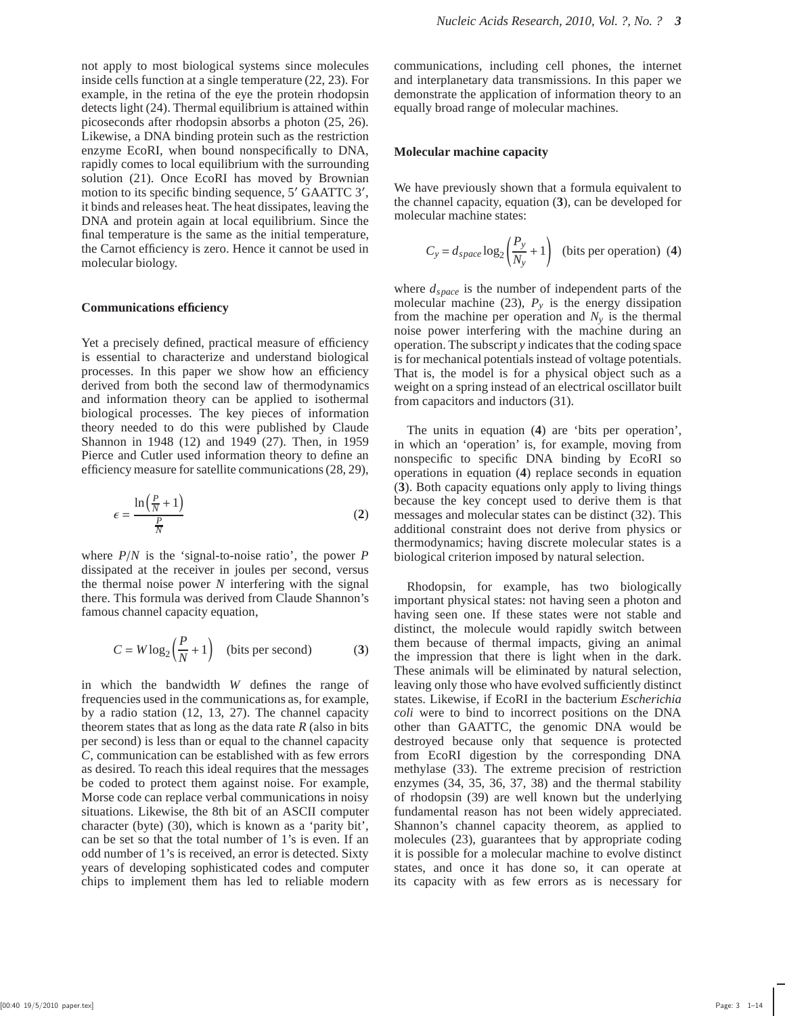not apply to most biological systems since molecules inside cells function at a single temperature (22, 23). For example, in the retina of the eye the protein rhodopsin detects light (24). Thermal equilibrium is attained within picoseconds after rhodopsin absorbs a photon (25, 26). Likewise, a DNA binding protein such as the restriction enzyme EcoRI, when bound nonspecifically to DNA, rapidly comes to local equilibrium with the surrounding solution (21). Once EcoRI has moved by Brownian motion to its specific binding sequence, 5' GAATTC 3', it binds and releases heat. The heat dissipates, leaving the DNA and protein again at local equilibrium. Since the final temperature is the same as the initial temperature, the Carnot efficiency is zero. Hence it cannot be used in molecular biology.

#### **Communications efficiency**

Yet a precisely defined, practical measure of efficiency is essential to characterize and understand biological processes. In this paper we show how an efficiency derived from both the second law of thermodynamics and information theory can be applied to isothermal biological processes. The key pieces of information theory needed to do this were published by Claude Shannon in 1948 (12) and 1949 (27). Then, in 1959 Pierce and Cutler used information theory to define an efficiency measure for satellite communications (28, 29),

$$
\epsilon = \frac{\ln\left(\frac{P}{N} + 1\right)}{\frac{P}{N}}
$$
\n(2)

where *P*/*N* is the 'signal-to-noise ratio', the power *P* dissipated at the receiver in joules per second, versus the thermal noise power *N* interfering with the signal there. This formula was derived from Claude Shannon's famous channel capacity equation,

$$
C = W \log_2 \left(\frac{P}{N} + 1\right) \quad \text{(bits per second)}\tag{3}
$$

in which the bandwidth *W* defines the range of frequencies used in the communications as, for example, by a radio station (12, 13, 27). The channel capacity theorem states that as long as the data rate *R* (also in bits per second) is less than or equal to the channel capacity *C*, communication can be established with as few errors as desired. To reach this ideal requires that the messages be coded to protect them against noise. For example, Morse code can replace verbal communications in noisy situations. Likewise, the 8th bit of an ASCII computer character (byte) (30), which is known as a 'parity bit', can be set so that the total number of 1's is even. If an odd number of 1's is received, an error is detected. Sixty years of developing sophisticated codes and computer chips to implement them has led to reliable modern

communications, including cell phones, the internet and interplanetary data transmissions. In this paper we demonstrate the application of information theory to an equally broad range of molecular machines.

## **Molecular machine capacity**

We have previously shown that a formula equivalent to the channel capacity, equation (**3**), can be developed for molecular machine states:

$$
C_y = d_{space} \log_2 \left(\frac{P_y}{N_y} + 1\right)
$$
 (bits per operation) (4)

where *dspace* is the number of independent parts of the molecular machine (23),  $P_y$  is the energy dissipation from the machine per operation and  $N<sub>y</sub>$  is the thermal noise power interfering with the machine during an operation. The subscript *y* indicates that the coding space is for mechanical potentials instead of voltage potentials. That is, the model is for a physical object such as a weight on a spring instead of an electrical oscillator built from capacitors and inductors (31).

The units in equation (**4**) are 'bits per operation', in which an 'operation' is, for example, moving from nonspecific to specific DNA binding by EcoRI so operations in equation (**4**) replace seconds in equation (**3**). Both capacity equations only apply to living things because the key concept used to derive them is that messages and molecular states can be distinct (32). This additional constraint does not derive from physics or thermodynamics; having discrete molecular states is a biological criterion imposed by natural selection.

Rhodopsin, for example, has two biologically important physical states: not having seen a photon and having seen one. If these states were not stable and distinct, the molecule would rapidly switch between them because of thermal impacts, giving an animal the impression that there is light when in the dark. These animals will be eliminated by natural selection, leaving only those who have evolved sufficiently distinct states. Likewise, if EcoRI in the bacterium *Escherichia coli* were to bind to incorrect positions on the DNA other than GAATTC, the genomic DNA would be destroyed because only that sequence is protected from EcoRI digestion by the corresponding DNA methylase (33). The extreme precision of restriction enzymes (34, 35, 36, 37, 38) and the thermal stability of rhodopsin (39) are well known but the underlying fundamental reason has not been widely appreciated. Shannon's channel capacity theorem, as applied to molecules (23), guarantees that by appropriate coding it is possible for a molecular machine to evolve distinct states, and once it has done so, it can operate at its capacity with as few errors as is necessary for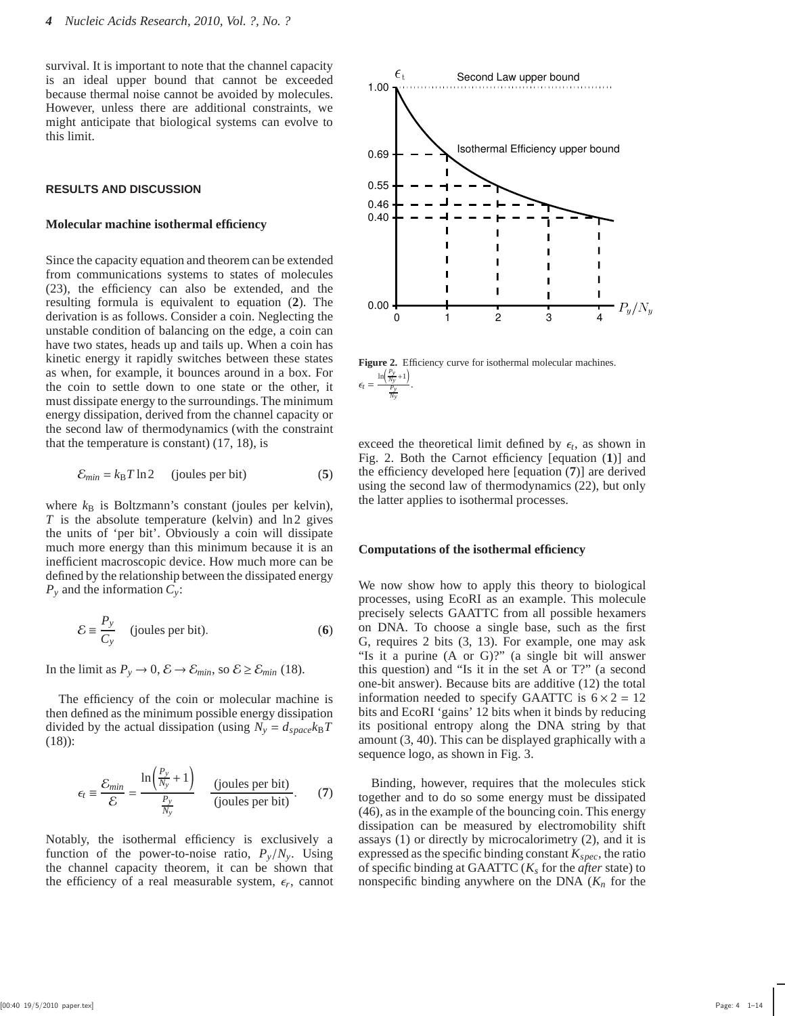survival. It is important to note that the channel capacity is an ideal upper bound that cannot be exceeded because thermal noise cannot be avoided by molecules. However, unless there are additional constraints, we might anticipate that biological systems can evolve to this limit.

#### **RESULTS AND DISCUSSION**

#### **Molecular machine isothermal efficiency**

Since the capacity equation and theorem can be extended from communications systems to states of molecules (23), the efficiency can also be extended, and the resulting formula is equivalent to equation (**2**). The derivation is as follows. Consider a coin. Neglecting the unstable condition of balancing on the edge, a coin can have two states, heads up and tails up. When a coin has kinetic energy it rapidly switches between these states as when, for example, it bounces around in a box. For the coin to settle down to one state or the other, it must dissipate energy to the surroundings. The minimum energy dissipation, derived from the channel capacity or the second law of thermodynamics (with the constraint that the temperature is constant) (17, 18), is

$$
\mathcal{E}_{min} = k_B T \ln 2 \qquad \text{(joules per bit)} \tag{5}
$$

where  $k_B$  is Boltzmann's constant (joules per kelvin), *T* is the absolute temperature (kelvin) and ln2 gives the units of 'per bit'. Obviously a coin will dissipate much more energy than this minimum because it is an inefficient macroscopic device. How much more can be defined by the relationship between the dissipated energy *P<sup>y</sup>* and the information *Cy*:

$$
\mathcal{E} \equiv \frac{P_y}{C_y} \quad \text{(joules per bit)}.
$$
 (6)

In the limit as  $P_y \to 0$ ,  $\mathcal{E} \to \mathcal{E}_{min}$ , so  $\mathcal{E} \ge \mathcal{E}_{min}$  (18).

The efficiency of the coin or molecular machine is then defined as the minimum possible energy dissipation divided by the actual dissipation (using  $N_y = d_{space}k_BT$ (18)):

$$
\epsilon_t \equiv \frac{\mathcal{E}_{min}}{\mathcal{E}} = \frac{\ln\left(\frac{P_y}{N_y} + 1\right)}{\frac{P_y}{N_y}} \quad \text{(joules per bit)}.\tag{7}
$$

Notably, the isothermal efficiency is exclusively a function of the power-to-noise ratio,  $P_v/N_v$ . Using the channel capacity theorem, it can be shown that the efficiency of a real measurable system,  $\epsilon_r$ , cannot



**Figure 2.** Efficiency curve for isothermal molecular machines.  $\epsilon_t =$ ln *Py Ny* +1 Ι *Py* .

*Ny*

exceed the theoretical limit defined by  $\epsilon_t$ , as shown in Fig. 2. Both the Carnot efficiency [equation (**1**)] and the efficiency developed here [equation (**7**)] are derived using the second law of thermodynamics (22), but only the latter applies to isothermal processes.

#### **Computations of the isothermal efficiency**

We now show how to apply this theory to biological processes, using EcoRI as an example. This molecule precisely selects GAATTC from all possible hexamers on DNA. To choose a single base, such as the first G, requires 2 bits (3, 13). For example, one may ask "Is it a purine (A or G)?" (a single bit will answer this question) and "Is it in the set A or T?" (a second one-bit answer). Because bits are additive (12) the total information needed to specify GAATTC is  $6 \times 2 = 12$ bits and EcoRI 'gains' 12 bits when it binds by reducing its positional entropy along the DNA string by that amount (3, 40). This can be displayed graphically with a sequence logo, as shown in Fig. 3.

Binding, however, requires that the molecules stick together and to do so some energy must be dissipated (46), as in the example of the bouncing coin. This energy dissipation can be measured by electromobility shift assays (1) or directly by microcalorimetry (2), and it is expressed as the specific binding constant *Kspec*, the ratio of specific binding at GAATTC (*K<sup>s</sup>* for the *after* state) to nonspecific binding anywhere on the DNA (*K<sup>n</sup>* for the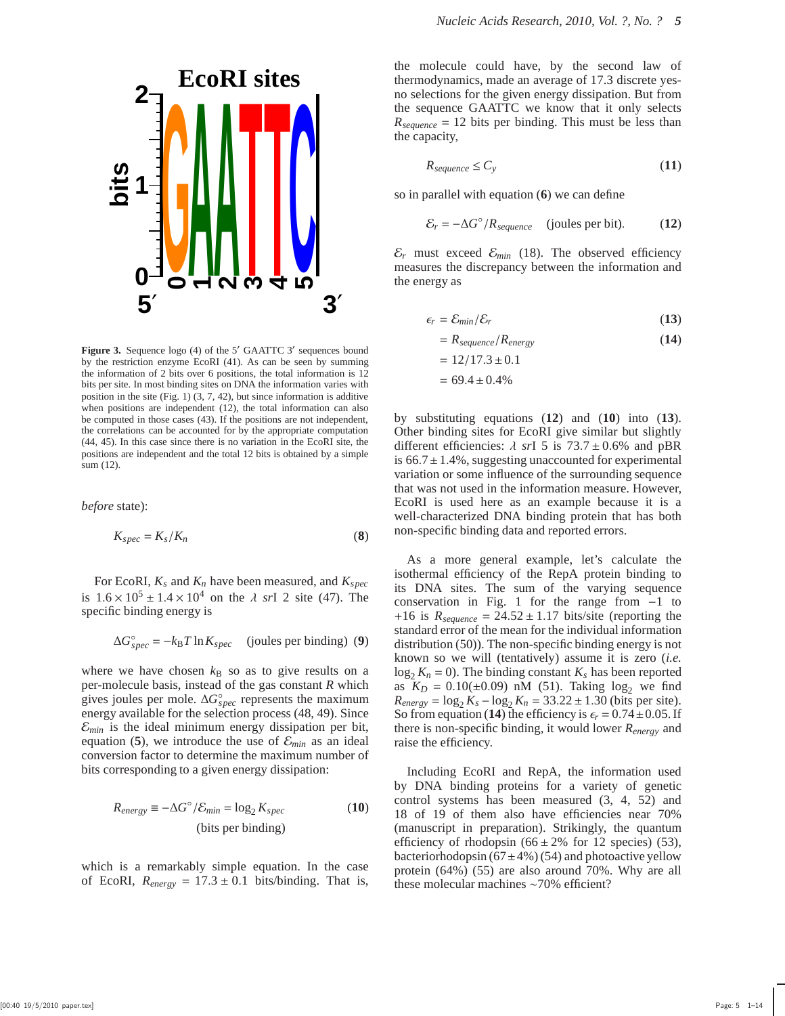

Figure 3. Sequence logo (4) of the 5' GAATTC 3' sequences bound by the restriction enzyme EcoRI (41). As can be seen by summing the information of 2 bits over 6 positions, the total information is 12 bits per site. In most binding sites on DNA the information varies with position in the site (Fig. 1)  $(3, 7, 42)$ , but since information is additive when positions are independent (12), the total information can also be computed in those cases (43). If the positions are not independent, the correlations can be accounted for by the appropriate computation (44, 45). In this case since there is no variation in the EcoRI site, the positions are independent and the total 12 bits is obtained by a simple sum (12).

*before* state):

$$
K_{spec} = K_s/K_n \tag{8}
$$

For EcoRI,  $K_s$  and  $K_n$  have been measured, and  $K_{spec}$ is  $1.6 \times 10^5 \pm 1.4 \times 10^4$  on the  $\lambda$  *sr*I 2 site (47). The specific binding energy is

$$
\Delta G_{spec}^{\circ} = -k_{\rm B}T \ln K_{spec}
$$
 (joules per binding) (9)

where we have chosen  $k_B$  so as to give results on a per-molecule basis, instead of the gas constant *R* which gives joules per mole.  $\Delta G_{spec}^{\circ}$  represents the maximum energy available for the selection process (48, 49). Since  $\mathcal{E}_{min}$  is the ideal minimum energy dissipation per bit, equation (5), we introduce the use of  $\mathcal{E}_{min}$  as an ideal conversion factor to determine the maximum number of bits corresponding to a given energy dissipation:

$$
R_{energy} \equiv -\Delta G^{\circ} / \mathcal{E}_{min} = \log_2 K_{spec}
$$
 (10)  
(bits per binding)

which is a remarkably simple equation. In the case of EcoRI,  $R_{energy} = 17.3 \pm 0.1$  bits/binding. That is,

the molecule could have, by the second law of thermodynamics, made an average of 17.3 discrete yesno selections for the given energy dissipation. But from the sequence GAATTC we know that it only selects  $R_{\text{sequence}} = 12$  bits per binding. This must be less than the capacity,

$$
R_{sequence} \le C_y \tag{11}
$$

so in parallel with equation (**6**) we can define

$$
\mathcal{E}_r = -\Delta G^\circ / R_{\text{sequence}} \quad \text{(joules per bit)}.\tag{12}
$$

 $\mathcal{E}_r$  must exceed  $\mathcal{E}_{min}$  (18). The observed efficiency measures the discrepancy between the information and measures the discrepancy between the information and the energy as

$$
\epsilon_r = \mathcal{E}_{min}/\mathcal{E}_r \tag{13}
$$

$$
= R_{sequence} / R_{energy}
$$
  
= 12/17.3 ± 0.1  
= 69.4 ± 0.4% (14)

by substituting equations (**12**) and (**10**) into (**13**). Other binding sites for EcoRI give similar but slightly different efficiencies:  $\lambda$  *sr*I 5 is  $73.7 \pm 0.6\%$  and pBR is  $66.7 \pm 1.4$ %, suggesting unaccounted for experimental variation or some influence of the surrounding sequence that was not used in the information measure. However, EcoRI is used here as an example because it is a well-characterized DNA binding protein that has both non-specific binding data and reported errors.

As a more general example, let's calculate the isothermal efficiency of the RepA protein binding to its DNA sites. The sum of the varying sequence conservation in Fig. 1 for the range from −1 to +16 is  $R_{\text{sequence}} = 24.52 \pm 1.17$  bits/site (reporting the standard error of the mean for the individual information distribution (50)). The non-specific binding energy is not known so we will (tentatively) assume it is zero (*i.e.*  $\log_2 K_n = 0$ ). The binding constant  $K_s$  has been reported as  $K_D = 0.10(\pm 0.09)$  nM (51). Taking  $\log_2$  we find  $R_{energy} = \log_2 K_s - \log_2 K_n = 33.22 \pm 1.30$  (bits per site). So from equation (14) the efficiency is  $\epsilon_r = 0.74 \pm 0.05$ . If there is non-specific binding, it would lower *Renergy* and raise the efficiency.

Including EcoRI and RepA, the information used by DNA binding proteins for a variety of genetic control systems has been measured (3, 4, 52) and 18 of 19 of them also have efficiencies near 70% (manuscript in preparation). Strikingly, the quantum efficiency of rhodopsin  $(66 \pm 2\%$  for 12 species) (53), bacteriorhodopsin  $(67\pm4\%)$  (54) and photoactive yellow protein (64%) (55) are also around 70%. Why are all these molecular machines ∼70% efficient?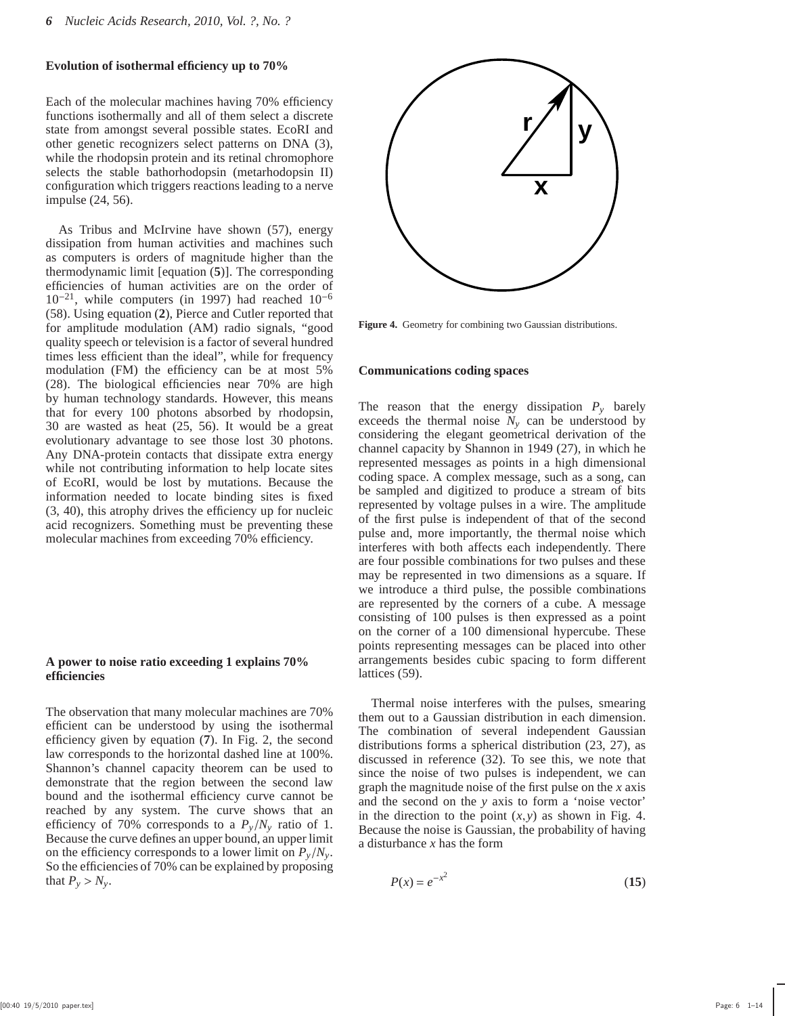#### **Evolution of isothermal efficiency up to 70%**

Each of the molecular machines having 70% efficiency functions isothermally and all of them select a discrete state from amongst several possible states. EcoRI and other genetic recognizers select patterns on DNA (3), while the rhodopsin protein and its retinal chromophore selects the stable bathorhodopsin (metarhodopsin II) configuration which triggers reactions leading to a nerve impulse (24, 56).

As Tribus and McIrvine have shown (57), energy dissipation from human activities and machines such as computers is orders of magnitude higher than the thermodynamic limit [equation (**5**)]. The corresponding efficiencies of human activities are on the order of  $10^{-21}$ , while computers (in 1997) had reached  $10^{-6}$ (58). Using equation (**2**), Pierce and Cutler reported that for amplitude modulation (AM) radio signals, "good quality speech or television is a factor of several hundred times less efficient than the ideal", while for frequency modulation (FM) the efficiency can be at most 5% (28). The biological efficiencies near 70% are high by human technology standards. However, this means that for every 100 photons absorbed by rhodopsin, 30 are wasted as heat (25, 56). It would be a great evolutionary advantage to see those lost 30 photons. Any DNA-protein contacts that dissipate extra energy while not contributing information to help locate sites of EcoRI, would be lost by mutations. Because the information needed to locate binding sites is fixed (3, 40), this atrophy drives the efficiency up for nucleic acid recognizers. Something must be preventing these molecular machines from exceeding 70% efficiency.

#### **A power to noise ratio exceeding 1 explains 70% efficiencies**

The observation that many molecular machines are 70% efficient can be understood by using the isothermal efficiency given by equation (**7**). In Fig. 2, the second law corresponds to the horizontal dashed line at 100%. Shannon's channel capacity theorem can be used to demonstrate that the region between the second law bound and the isothermal efficiency curve cannot be reached by any system. The curve shows that an efficiency of 70% corresponds to a  $P_y/N_y$  ratio of 1. Because the curve defines an upper bound, an upper limit on the efficiency corresponds to a lower limit on  $P_v/N_v$ . So the efficiencies of 70% can be explained by proposing that  $P_y > N_y$ .



**Figure 4.** Geometry for combining two Gaussian distributions.

#### **Communications coding spaces**

The reason that the energy dissipation  $P_y$  barely exceeds the thermal noise  $N_y$  can be understood by considering the elegant geometrical derivation of the channel capacity by Shannon in 1949 (27), in which he represented messages as points in a high dimensional coding space. A complex message, such as a song, can be sampled and digitized to produce a stream of bits represented by voltage pulses in a wire. The amplitude of the first pulse is independent of that of the second pulse and, more importantly, the thermal noise which interferes with both affects each independently. There are four possible combinations for two pulses and these may be represented in two dimensions as a square. If we introduce a third pulse, the possible combinations are represented by the corners of a cube. A message consisting of 100 pulses is then expressed as a point on the corner of a 100 dimensional hypercube. These points representing messages can be placed into other arrangements besides cubic spacing to form different lattices (59).

Thermal noise interferes with the pulses, smearing them out to a Gaussian distribution in each dimension. The combination of several independent Gaussian distributions forms a spherical distribution (23, 27), as discussed in reference (32). To see this, we note that since the noise of two pulses is independent, we can graph the magnitude noise of the first pulse on the *x* axis and the second on the *y* axis to form a 'noise vector' in the direction to the point  $(x, y)$  as shown in Fig. 4. Because the noise is Gaussian, the probability of having a disturbance *x* has the form

$$
P(x) = e^{-x^2} \tag{15}
$$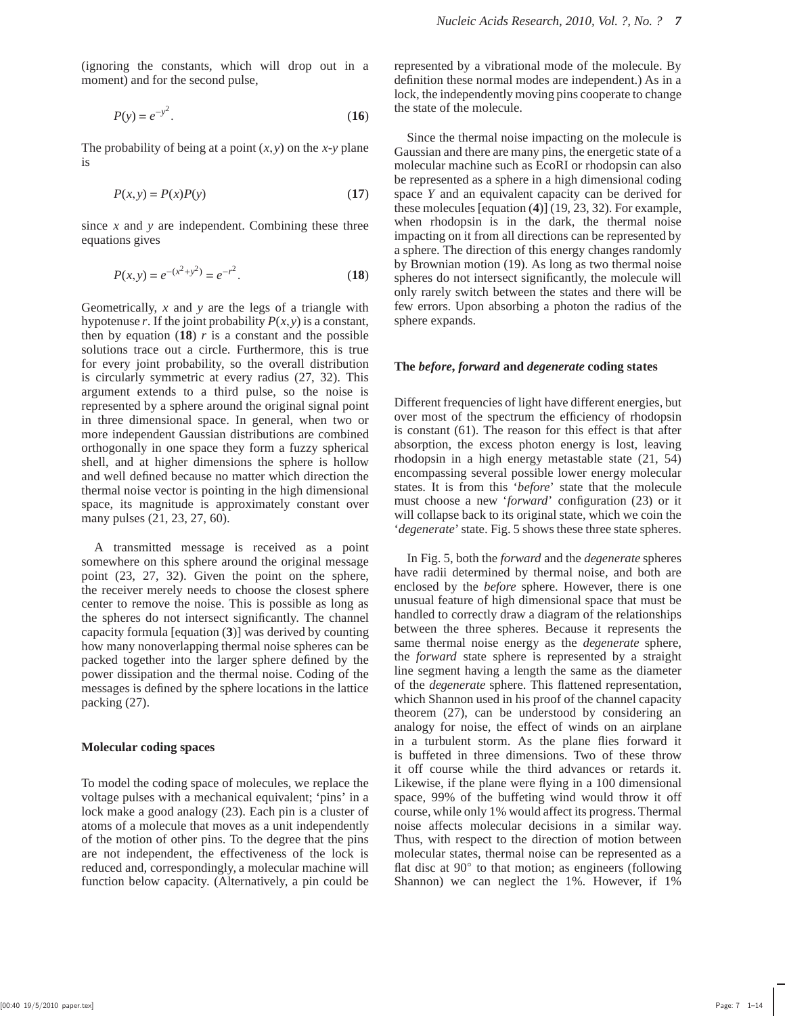(ignoring the constants, which will drop out in a moment) and for the second pulse,

$$
P(y) = e^{-y^2}.\tag{16}
$$

The probability of being at a point  $(x, y)$  on the *x*-*y* plane is

$$
P(x, y) = P(x)P(y)
$$
\n(17)

since *x* and *y* are independent. Combining these three equations gives

$$
P(x, y) = e^{-(x^2 + y^2)} = e^{-r^2}.
$$
 (18)

Geometrically, *x* and *y* are the legs of a triangle with hypotenuse *r*. If the joint probability  $P(x, y)$  is a constant, then by equation  $(18)$  *r* is a constant and the possible solutions trace out a circle. Furthermore, this is true for every joint probability, so the overall distribution is circularly symmetric at every radius (27, 32). This argument extends to a third pulse, so the noise is represented by a sphere around the original signal point in three dimensional space. In general, when two or more independent Gaussian distributions are combined orthogonally in one space they form a fuzzy spherical shell, and at higher dimensions the sphere is hollow and well defined because no matter which direction the thermal noise vector is pointing in the high dimensional space, its magnitude is approximately constant over many pulses  $(21, 23, 27, 60)$ .

A transmitted message is received as a point somewhere on this sphere around the original message point (23, 27, 32). Given the point on the sphere, the receiver merely needs to choose the closest sphere center to remove the noise. This is possible as long as the spheres do not intersect significantly. The channel capacity formula [equation (**3**)] was derived by counting how many nonoverlapping thermal noise spheres can be packed together into the larger sphere defined by the power dissipation and the thermal noise. Coding of the messages is defined by the sphere locations in the lattice packing (27).

#### **Molecular coding spaces**

To model the coding space of molecules, we replace the voltage pulses with a mechanical equivalent; 'pins' in a lock make a good analogy (23). Each pin is a cluster of atoms of a molecule that moves as a unit independently of the motion of other pins. To the degree that the pins are not independent, the effectiveness of the lock is reduced and, correspondingly, a molecular machine will function below capacity. (Alternatively, a pin could be

represented by a vibrational mode of the molecule. By definition these normal modes are independent.) As in a lock, the independently moving pins cooperate to change the state of the molecule.

Since the thermal noise impacting on the molecule is Gaussian and there are many pins, the energetic state of a molecular machine such as EcoRI or rhodopsin can also be represented as a sphere in a high dimensional coding space *Y* and an equivalent capacity can be derived for these molecules [equation (**4**)] (19, 23, 32). For example, when rhodopsin is in the dark, the thermal noise impacting on it from all directions can be represented by a sphere. The direction of this energy changes randomly by Brownian motion (19). As long as two thermal noise spheres do not intersect significantly, the molecule will only rarely switch between the states and there will be few errors. Upon absorbing a photon the radius of the sphere expands.

#### **The** *before***,** *forward* **and** *degenerate* **coding states**

Different frequencies of light have different energies, but over most of the spectrum the efficiency of rhodopsin is constant (61). The reason for this effect is that after absorption, the excess photon energy is lost, leaving rhodopsin in a high energy metastable state (21, 54) encompassing several possible lower energy molecular states. It is from this '*before*' state that the molecule must choose a new '*forward*' configuration (23) or it will collapse back to its original state, which we coin the '*degenerate*' state. Fig. 5 shows these three state spheres.

In Fig. 5, both the *forward* and the *degenerate* spheres have radii determined by thermal noise, and both are enclosed by the *before* sphere. However, there is one unusual feature of high dimensional space that must be handled to correctly draw a diagram of the relationships between the three spheres. Because it represents the same thermal noise energy as the *degenerate* sphere, the *forward* state sphere is represented by a straight line segment having a length the same as the diameter of the *degenerate* sphere. This flattened representation, which Shannon used in his proof of the channel capacity theorem (27), can be understood by considering an analogy for noise, the effect of winds on an airplane in a turbulent storm. As the plane flies forward it is buffeted in three dimensions. Two of these throw it off course while the third advances or retards it. Likewise, if the plane were flying in a 100 dimensional space, 99% of the buffeting wind would throw it off course, while only 1% would affect its progress. Thermal noise affects molecular decisions in a similar way. Thus, with respect to the direction of motion between molecular states, thermal noise can be represented as a flat disc at 90° to that motion; as engineers (following Shannon) we can neglect the 1%. However, if 1%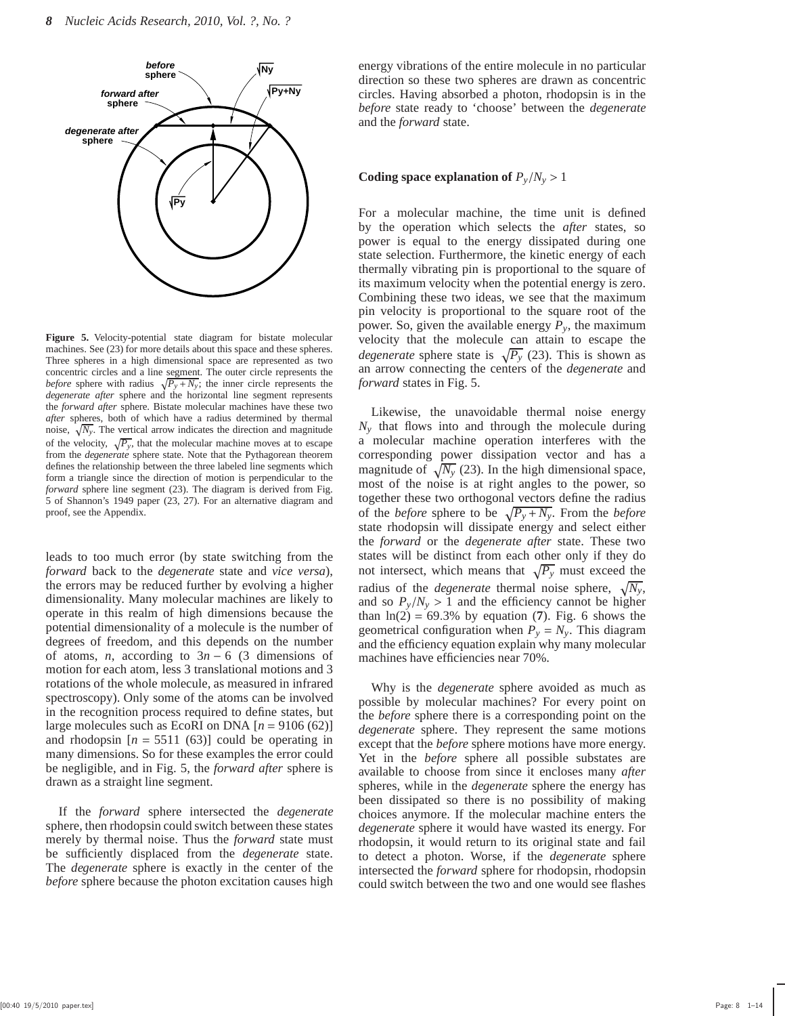

**Figure 5.** Velocity-potential state diagram for bistate molecular machines. See (23) for more details about this space and these spheres. Three spheres in a high dimensional space are represented as two concentric circles and a line segment. The outer circle represents the *before* sphere with radius  $\sqrt{P_y + N_y}$ ; the inner circle represents the *degenerate after* sphere and the horizontal line segment represents the *forward after* sphere. Bistate molecular machines have these two *after* spheres, both of which have a radius determined by thermal noise,  $\sqrt{N_y}$ . The vertical arrow indicates the direction and magnitude of the velocity,  $\sqrt{P_y}$ , that the molecular machine moves at to escape from the *degenerate* sphere state. Note that the Pythagorean theorem defines the relationship between the three labeled line segments which form a triangle since the direction of motion is perpendicular to the *forward* sphere line segment (23). The diagram is derived from Fig. 5 of Shannon's 1949 paper (23, 27). For an alternative diagram and proof, see the Appendix.

leads to too much error (by state switching from the *forward* back to the *degenerate* state and *vice versa*), the errors may be reduced further by evolving a higher dimensionality. Many molecular machines are likely to operate in this realm of high dimensions because the potential dimensionality of a molecule is the number of degrees of freedom, and this depends on the number of atoms, *n*, according to  $3n - 6$  (3 dimensions of motion for each atom, less 3 translational motions and 3 rotations of the whole molecule, as measured in infrared spectroscopy). Only some of the atoms can be involved in the recognition process required to define states, but large molecules such as EcoRI on DNA  $[n = 9106(62)]$ and rhodopsin  $[n = 5511 (63)]$  could be operating in many dimensions. So for these examples the error could be negligible, and in Fig. 5, the *forward after* sphere is drawn as a straight line segment.

If the *forward* sphere intersected the *degenerate* sphere, then rhodopsin could switch between these states merely by thermal noise. Thus the *forward* state must be sufficiently displaced from the *degenerate* state. The *degenerate* sphere is exactly in the center of the *before* sphere because the photon excitation causes high energy vibrations of the entire molecule in no particular direction so these two spheres are drawn as concentric circles. Having absorbed a photon, rhodopsin is in the *before* state ready to 'choose' between the *degenerate* and the *forward* state.

#### **Coding space explanation of**  $P_y/N_y > 1$

For a molecular machine, the time unit is defined by the operation which selects the *after* states, so power is equal to the energy dissipated during one state selection. Furthermore, the kinetic energy of each thermally vibrating pin is proportional to the square of its maximum velocity when the potential energy is zero. Combining these two ideas, we see that the maximum pin velocity is proportional to the square root of the power. So, given the available energy  $P_y$ , the maximum velocity that the molecule can attain to escape the *degenerate* sphere state is  $\sqrt{P_y}$  (23). This is shown as an arrow connecting the centers of the *degenerate* and *forward* states in Fig. 5.

Likewise, the unavoidable thermal noise energy *N<sup>y</sup>* that flows into and through the molecule during a molecular machine operation interferes with the corresponding power dissipation vector and has a magnitude of  $\sqrt{N_y}$  (23). In the high dimensional space, most of the noise is at right angles to the power, so together these two orthogonal vectors define the radius of the *before* sphere to be  $\sqrt{P_y + N_y}$ . From the *before* state rhodopsin will dissipate energy and select either the *forward* or the *degenerate after* state. These two states will be distinct from each other only if they do not intersect, which means that  $\sqrt{P_y}$  must exceed the radius of the *degenerate* thermal noise sphere,  $\sqrt{N_y}$ , and so  $P_v/N_v > 1$  and the efficiency cannot be higher than  $ln(2) = 69.3\%$  by equation (7). Fig. 6 shows the geometrical configuration when  $P_y = N_y$ . This diagram and the efficiency equation explain why many molecular machines have efficiencies near 70%.

Why is the *degenerate* sphere avoided as much as possible by molecular machines? For every point on the *before* sphere there is a corresponding point on the *degenerate* sphere. They represent the same motions except that the *before* sphere motions have more energy. Yet in the *before* sphere all possible substates are available to choose from since it encloses many *after* spheres, while in the *degenerate* sphere the energy has been dissipated so there is no possibility of making choices anymore. If the molecular machine enters the *degenerate* sphere it would have wasted its energy. For rhodopsin, it would return to its original state and fail to detect a photon. Worse, if the *degenerate* sphere intersected the *forward* sphere for rhodopsin, rhodopsin could switch between the two and one would see flashes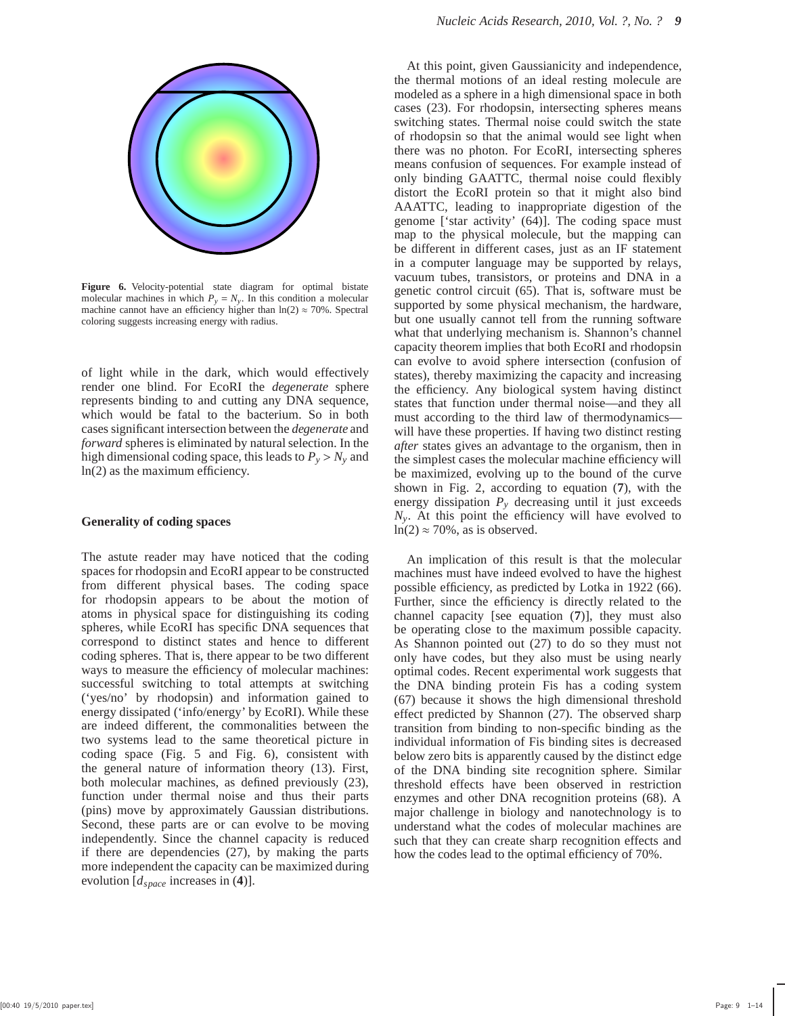

**Figure 6.** Velocity-potential state diagram for optimal bistate molecular machines in which  $P_y = N_y$ . In this condition a molecular machine cannot have an efficiency higher than  $ln(2) \approx 70\%$ . Spectral coloring suggests increasing energy with radius.

of light while in the dark, which would effectively render one blind. For EcoRI the *degenerate* sphere represents binding to and cutting any DNA sequence, which would be fatal to the bacterium. So in both cases significant intersection between the *degenerate* and *forward* spheres is eliminated by natural selection. In the high dimensional coding space, this leads to  $P_y > N_y$  and ln(2) as the maximum efficiency.

#### **Generality of coding spaces**

The astute reader may have noticed that the coding spaces for rhodopsin and EcoRI appear to be constructed from different physical bases. The coding space for rhodopsin appears to be about the motion of atoms in physical space for distinguishing its coding spheres, while EcoRI has specific DNA sequences that correspond to distinct states and hence to different coding spheres. That is, there appear to be two different ways to measure the efficiency of molecular machines: successful switching to total attempts at switching ('yes/no' by rhodopsin) and information gained to energy dissipated ('info/energy' by EcoRI). While these are indeed different, the commonalities between the two systems lead to the same theoretical picture in coding space (Fig. 5 and Fig. 6), consistent with the general nature of information theory (13). First, both molecular machines, as defined previously (23), function under thermal noise and thus their parts (pins) move by approximately Gaussian distributions. Second, these parts are or can evolve to be moving independently. Since the channel capacity is reduced if there are dependencies (27), by making the parts more independent the capacity can be maximized during evolution [*dspace* increases in (**4**)].

At this point, given Gaussianicity and independence, the thermal motions of an ideal resting molecule are modeled as a sphere in a high dimensional space in both cases (23). For rhodopsin, intersecting spheres means switching states. Thermal noise could switch the state of rhodopsin so that the animal would see light when there was no photon. For EcoRI, intersecting spheres means confusion of sequences. For example instead of only binding GAATTC, thermal noise could flexibly distort the EcoRI protein so that it might also bind AAATTC, leading to inappropriate digestion of the genome ['star activity' (64)]. The coding space must map to the physical molecule, but the mapping can be different in different cases, just as an IF statement in a computer language may be supported by relays, vacuum tubes, transistors, or proteins and DNA in a genetic control circuit (65). That is, software must be supported by some physical mechanism, the hardware, but one usually cannot tell from the running software what that underlying mechanism is. Shannon's channel capacity theorem implies that both EcoRI and rhodopsin can evolve to avoid sphere intersection (confusion of states), thereby maximizing the capacity and increasing the efficiency. Any biological system having distinct states that function under thermal noise—and they all must according to the third law of thermodynamics will have these properties. If having two distinct resting *after* states gives an advantage to the organism, then in the simplest cases the molecular machine efficiency will be maximized, evolving up to the bound of the curve shown in Fig. 2, according to equation (**7**), with the energy dissipation  $P<sub>y</sub>$  decreasing until it just exceeds *Ny*. At this point the efficiency will have evolved to  $ln(2) \approx 70\%$ , as is observed.

An implication of this result is that the molecular machines must have indeed evolved to have the highest possible efficiency, as predicted by Lotka in 1922 (66). Further, since the efficiency is directly related to the channel capacity [see equation (**7**)], they must also be operating close to the maximum possible capacity. As Shannon pointed out (27) to do so they must not only have codes, but they also must be using nearly optimal codes. Recent experimental work suggests that the DNA binding protein Fis has a coding system (67) because it shows the high dimensional threshold effect predicted by Shannon (27). The observed sharp transition from binding to non-specific binding as the individual information of Fis binding sites is decreased below zero bits is apparently caused by the distinct edge of the DNA binding site recognition sphere. Similar threshold effects have been observed in restriction enzymes and other DNA recognition proteins (68). A major challenge in biology and nanotechnology is to understand what the codes of molecular machines are such that they can create sharp recognition effects and how the codes lead to the optimal efficiency of 70%.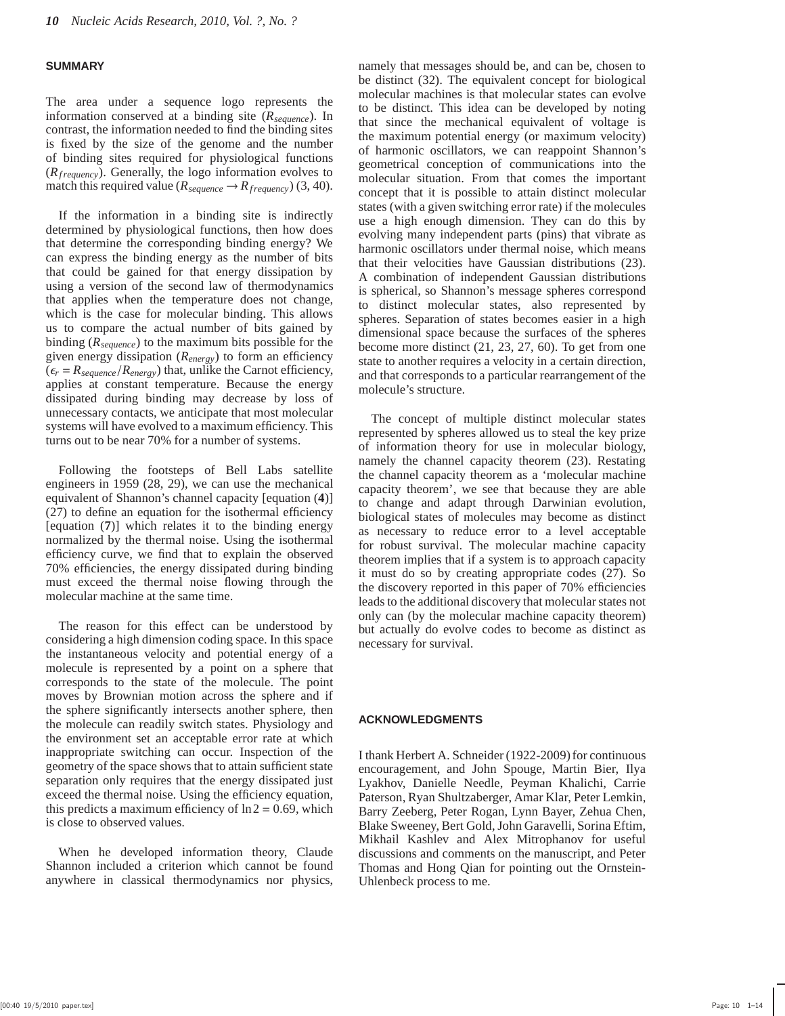#### **SUMMARY**

The area under a sequence logo represents the information conserved at a binding site (*Rsequence*). In contrast, the information needed to find the binding sites is fixed by the size of the genome and the number of binding sites required for physiological functions  $(R_{frequency})$ . Generally, the logo information evolves to match this required value ( $R_{\text{sequence}} \rightarrow R_{\text{frequency}}$ ) (3, 40).

If the information in a binding site is indirectly determined by physiological functions, then how does that determine the corresponding binding energy? We can express the binding energy as the number of bits that could be gained for that energy dissipation by using a version of the second law of thermodynamics that applies when the temperature does not change, which is the case for molecular binding. This allows us to compare the actual number of bits gained by binding (*Rsequence*) to the maximum bits possible for the given energy dissipation (*Renergy*) to form an efficiency  $(\epsilon_r = R_{\text{sequence}}/R_{\text{energy}})$  that, unlike the Carnot efficiency, applies at constant temperature. Because the energy dissipated during binding may decrease by loss of unnecessary contacts, we anticipate that most molecular systems will have evolved to a maximum efficiency. This turns out to be near 70% for a number of systems.

Following the footsteps of Bell Labs satellite engineers in 1959 (28, 29), we can use the mechanical equivalent of Shannon's channel capacity [equation (**4**)] (27) to define an equation for the isothermal efficiency [equation (**7**)] which relates it to the binding energy normalized by the thermal noise. Using the isothermal efficiency curve, we find that to explain the observed 70% efficiencies, the energy dissipated during binding must exceed the thermal noise flowing through the molecular machine at the same time.

The reason for this effect can be understood by considering a high dimension coding space. In this space the instantaneous velocity and potential energy of a molecule is represented by a point on a sphere that corresponds to the state of the molecule. The point moves by Brownian motion across the sphere and if the sphere significantly intersects another sphere, then the molecule can readily switch states. Physiology and the environment set an acceptable error rate at which inappropriate switching can occur. Inspection of the geometry of the space shows that to attain sufficient state separation only requires that the energy dissipated just exceed the thermal noise. Using the efficiency equation, this predicts a maximum efficiency of  $ln 2 = 0.69$ , which is close to observed values.

When he developed information theory, Claude Shannon included a criterion which cannot be found anywhere in classical thermodynamics nor physics, namely that messages should be, and can be, chosen to be distinct (32). The equivalent concept for biological molecular machines is that molecular states can evolve to be distinct. This idea can be developed by noting that since the mechanical equivalent of voltage is the maximum potential energy (or maximum velocity) of harmonic oscillators, we can reappoint Shannon's geometrical conception of communications into the molecular situation. From that comes the important concept that it is possible to attain distinct molecular states (with a given switching error rate) if the molecules use a high enough dimension. They can do this by evolving many independent parts (pins) that vibrate as harmonic oscillators under thermal noise, which means that their velocities have Gaussian distributions (23). A combination of independent Gaussian distributions is spherical, so Shannon's message spheres correspond to distinct molecular states, also represented by spheres. Separation of states becomes easier in a high dimensional space because the surfaces of the spheres become more distinct (21, 23, 27, 60). To get from one state to another requires a velocity in a certain direction, and that corresponds to a particular rearrangement of the molecule's structure.

The concept of multiple distinct molecular states represented by spheres allowed us to steal the key prize of information theory for use in molecular biology, namely the channel capacity theorem (23). Restating the channel capacity theorem as a 'molecular machine capacity theorem', we see that because they are able to change and adapt through Darwinian evolution, biological states of molecules may become as distinct as necessary to reduce error to a level acceptable for robust survival. The molecular machine capacity theorem implies that if a system is to approach capacity it must do so by creating appropriate codes (27). So the discovery reported in this paper of 70% efficiencies leads to the additional discovery that molecular states not only can (by the molecular machine capacity theorem) but actually do evolve codes to become as distinct as necessary for survival.

#### **ACKNOWLEDGMENTS**

I thank Herbert A. Schneider (1922-2009) for continuous encouragement, and John Spouge, Martin Bier, Ilya Lyakhov, Danielle Needle, Peyman Khalichi, Carrie Paterson, Ryan Shultzaberger, Amar Klar, Peter Lemkin, Barry Zeeberg, Peter Rogan, Lynn Bayer, Zehua Chen, Blake Sweeney, Bert Gold, John Garavelli, Sorina Eftim, Mikhail Kashlev and Alex Mitrophanov for useful discussions and comments on the manuscript, and Peter Thomas and Hong Qian for pointing out the Ornstein-Uhlenbeck process to me.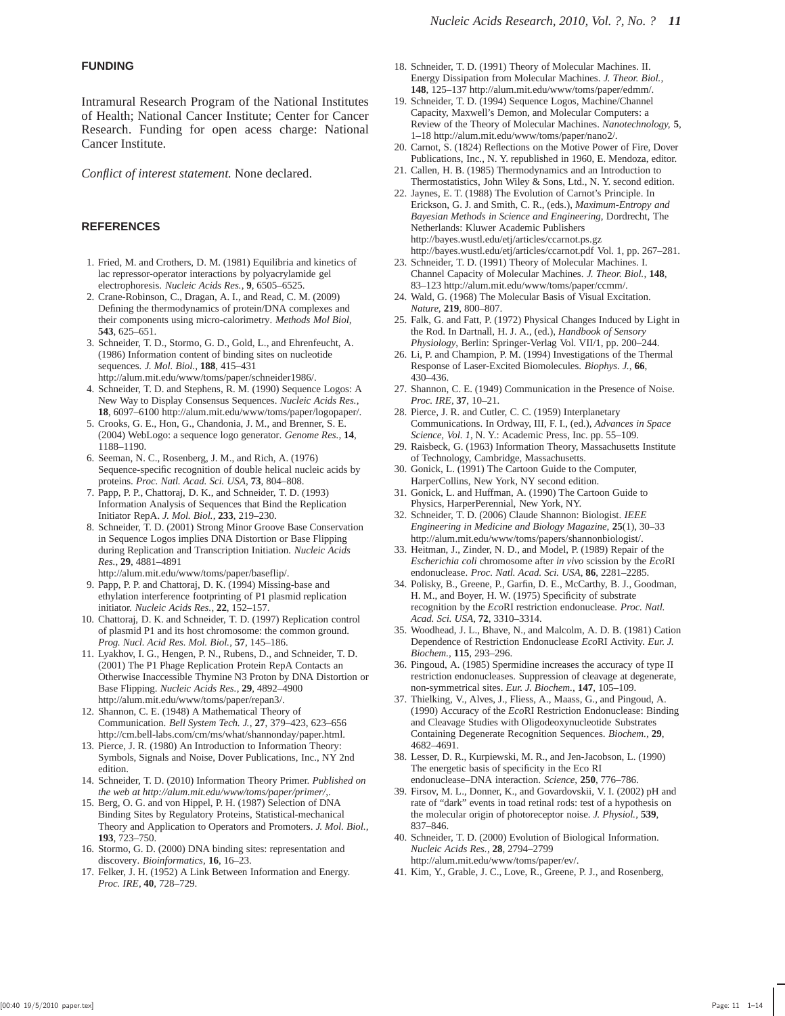## **FUNDING**

Intramural Research Program of the National Institutes of Health; National Cancer Institute; Center for Cancer Research. Funding for open acess charge: National Cancer Institute.

*Conflict of interest statement.* None declared.

## **REFERENCES**

- 1. Fried, M. and Crothers, D. M. (1981) Equilibria and kinetics of lac repressor-operator interactions by polyacrylamide gel electrophoresis. *Nucleic Acids Res.,* **9**, 6505–6525.
- 2. Crane-Robinson, C., Dragan, A. I., and Read, C. M. (2009) Defining the thermodynamics of protein/DNA complexes and their components using micro-calorimetry. *Methods Mol Biol,* **543**, 625–651.
- 3. Schneider, T. D., Stormo, G. D., Gold, L., and Ehrenfeucht, A. (1986) Information content of binding sites on nucleotide sequences. *J. Mol. Biol.,* **188**, 415–431 http://alum.mit.edu/www/toms/paper/schneider1986/.
- 4. Schneider, T. D. and Stephens, R. M. (1990) Sequence Logos: A New Way to Display Consensus Sequences. *Nucleic Acids Res.,* **18**, 6097–6100 http://alum.mit.edu/www/toms/paper/logopaper/.
- 5. Crooks, G. E., Hon, G., Chandonia, J. M., and Brenner, S. E. (2004) WebLogo: a sequence logo generator. *Genome Res.,* **14**, 1188–1190.
- 6. Seeman, N. C., Rosenberg, J. M., and Rich, A. (1976) Sequence-specific recognition of double helical nucleic acids by proteins. *Proc. Natl. Acad. Sci. USA,* **73**, 804–808.
- 7. Papp, P. P., Chattoraj, D. K., and Schneider, T. D. (1993) Information Analysis of Sequences that Bind the Replication Initiator RepA. *J. Mol. Biol.,* **233**, 219–230.
- 8. Schneider, T. D. (2001) Strong Minor Groove Base Conservation in Sequence Logos implies DNA Distortion or Base Flipping during Replication and Transcription Initiation. *Nucleic Acids Res.,* **29**, 4881–4891 http://alum.mit.edu/www/toms/paper/baseflip/.
- 9. Papp, P. P. and Chattoraj, D. K. (1994) Missing-base and ethylation interference footprinting of P1 plasmid replication initiator. *Nucleic Acids Res.,* **22**, 152–157.
- 10. Chattoraj, D. K. and Schneider, T. D. (1997) Replication control of plasmid P1 and its host chromosome: the common ground. *Prog. Nucl. Acid Res. Mol. Biol.,* **57**, 145–186.
- 11. Lyakhov, I. G., Hengen, P. N., Rubens, D., and Schneider, T. D. (2001) The P1 Phage Replication Protein RepA Contacts an Otherwise Inaccessible Thymine N3 Proton by DNA Distortion or Base Flipping. *Nucleic Acids Res.,* **29**, 4892–4900 http://alum.mit.edu/www/toms/paper/repan3/.
- 12. Shannon, C. E. (1948) A Mathematical Theory of Communication. *Bell System Tech. J.,* **27**, 379–423, 623–656 http://cm.bell-labs.com/cm/ms/what/shannonday/paper.html.
- 13. Pierce, J. R. (1980) An Introduction to Information Theory: Symbols, Signals and Noise, Dover Publications, Inc., NY 2nd edition.
- 14. Schneider, T. D. (2010) Information Theory Primer. *Published on the web at http://alum.mit.edu/www/toms/paper/primer/,*.
- 15. Berg, O. G. and von Hippel, P. H. (1987) Selection of DNA Binding Sites by Regulatory Proteins, Statistical-mechanical Theory and Application to Operators and Promoters. *J. Mol. Biol.,* **193**, 723–750.
- 16. Stormo, G. D. (2000) DNA binding sites: representation and discovery. *Bioinformatics,* **16**, 16–23.
- 17. Felker, J. H. (1952) A Link Between Information and Energy. *Proc. IRE,* **40**, 728–729.
- 18. Schneider, T. D. (1991) Theory of Molecular Machines. II. Energy Dissipation from Molecular Machines. *J. Theor. Biol.,* **148**, 125–137 http://alum.mit.edu/www/toms/paper/edmm/.
- 19. Schneider, T. D. (1994) Sequence Logos, Machine/Channel Capacity, Maxwell's Demon, and Molecular Computers: a Review of the Theory of Molecular Machines. *Nanotechnology,* **5**, 1–18 http://alum.mit.edu/www/toms/paper/nano2/.
- 20. Carnot, S. (1824) Reflections on the Motive Power of Fire, Dover Publications, Inc., N. Y. republished in 1960, E. Mendoza, editor.
- 21. Callen, H. B. (1985) Thermodynamics and an Introduction to Thermostatistics, John Wiley & Sons, Ltd., N. Y. second edition.
- 22. Jaynes, E. T. (1988) The Evolution of Carnot's Principle. In Erickson, G. J. and Smith, C. R., (eds.), *Maximum-Entropy and Bayesian Methods in Science and Engineering*, Dordrecht, The Netherlands: Kluwer Academic Publishers http://bayes.wustl.edu/etj/articles/ccarnot.ps.gz http://bayes.wustl.edu/etj/articles/ccarnot.pdf Vol. 1, pp. 267–281.
- 23. Schneider, T. D. (1991) Theory of Molecular Machines. I. Channel Capacity of Molecular Machines. *J. Theor. Biol.,* **148**, 83–123 http://alum.mit.edu/www/toms/paper/ccmm/.
- 24. Wald, G. (1968) The Molecular Basis of Visual Excitation. *Nature,* **219**, 800–807.
- 25. Falk, G. and Fatt, P. (1972) Physical Changes Induced by Light in the Rod. In Dartnall, H. J. A., (ed.), *Handbook of Sensory Physiology*, Berlin: Springer-Verlag Vol. VII/1, pp. 200–244.
- 26. Li, P. and Champion, P. M. (1994) Investigations of the Thermal Response of Laser-Excited Biomolecules. *Biophys. J.,* **66**, 430–436.
- 27. Shannon, C. E. (1949) Communication in the Presence of Noise. *Proc. IRE,* **37**, 10–21.
- 28. Pierce, J. R. and Cutler, C. C. (1959) Interplanetary Communications. In Ordway, III, F. I., (ed.), *Advances in Space Science, Vol. 1*, N. Y.: Academic Press, Inc. pp. 55–109.
- 29. Raisbeck, G. (1963) Information Theory, Massachusetts Institute of Technology, Cambridge, Massachusetts.
- 30. Gonick, L. (1991) The Cartoon Guide to the Computer, HarperCollins, New York, NY second edition.
- 31. Gonick, L. and Huffman, A. (1990) The Cartoon Guide to Physics, HarperPerennial, New York, NY.
- 32. Schneider, T. D. (2006) Claude Shannon: Biologist. *IEEE Engineering in Medicine and Biology Magazine,* **25**(1), 30–33 http://alum.mit.edu/www/toms/papers/shannonbiologist/.
- 33. Heitman, J., Zinder, N. D., and Model, P. (1989) Repair of the *Escherichia coli* chromosome after *in vivo* scission by the *Eco*RI endonuclease. *Proc. Natl. Acad. Sci. USA,* **86**, 2281–2285.
- 34. Polisky, B., Greene, P., Garfin, D. E., McCarthy, B. J., Goodman, H. M., and Boyer, H. W. (1975) Specificity of substrate recognition by the *Eco*RI restriction endonuclease. *Proc. Natl. Acad. Sci. USA,* **72**, 3310–3314.
- 35. Woodhead, J. L., Bhave, N., and Malcolm, A. D. B. (1981) Cation Dependence of Restriction Endonuclease *Eco*RI Activity. *Eur. J. Biochem.,* **115**, 293–296.
- 36. Pingoud, A. (1985) Spermidine increases the accuracy of type II restriction endonucleases. Suppression of cleavage at degenerate, non-symmetrical sites. *Eur. J. Biochem.,* **147**, 105–109.
- 37. Thielking, V., Alves, J., Fliess, A., Maass, G., and Pingoud, A. (1990) Accuracy of the *Eco*RI Restriction Endonuclease: Binding and Cleavage Studies with Oligodeoxynucleotide Substrates Containing Degenerate Recognition Sequences. *Biochem.,* **29**, 4682–4691.
- 38. Lesser, D. R., Kurpiewski, M. R., and Jen-Jacobson, L. (1990) The energetic basis of specificity in the Eco RI endonuclease–DNA interaction. *Science,* **250**, 776–786.
- 39. Firsov, M. L., Donner, K., and Govardovskii, V. I. (2002) pH and rate of "dark" events in toad retinal rods: test of a hypothesis on the molecular origin of photoreceptor noise. *J. Physiol.,* **539**, 837–846.
- 40. Schneider, T. D. (2000) Evolution of Biological Information. *Nucleic Acids Res.,* **28**, 2794–2799 http://alum.mit.edu/www/toms/paper/ev/.
- 41. Kim, Y., Grable, J. C., Love, R., Greene, P. J., and Rosenberg,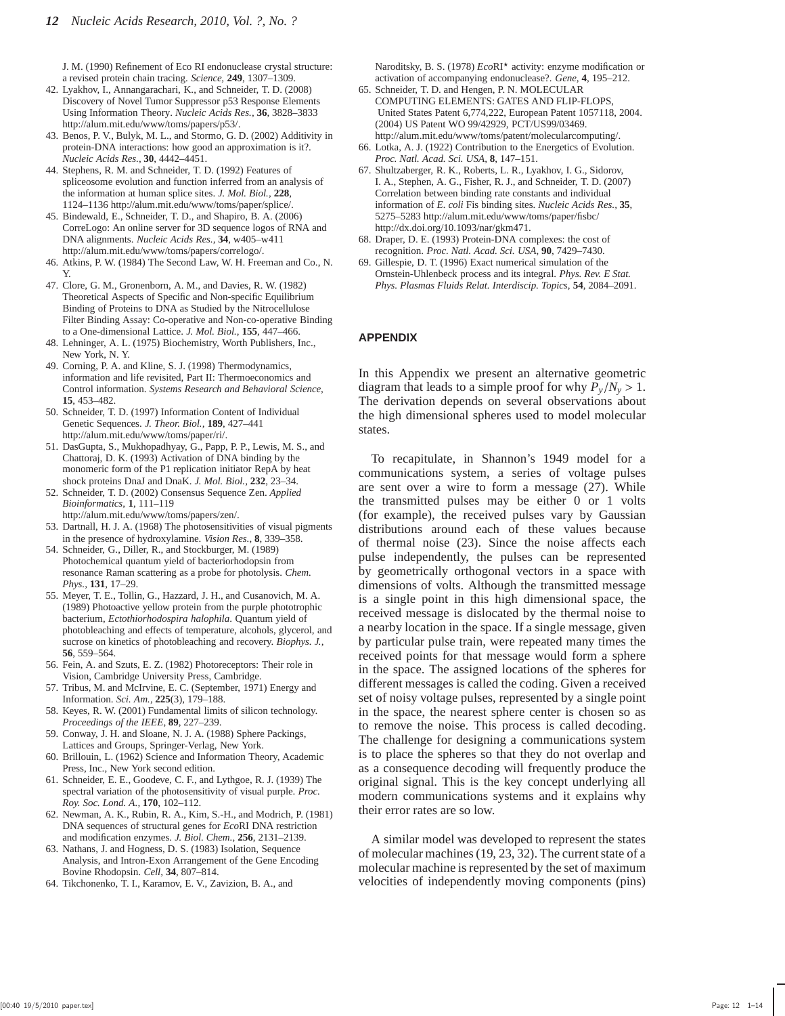J. M. (1990) Refinement of Eco RI endonuclease crystal structure: a revised protein chain tracing. *Science,* **249**, 1307–1309.

- 42. Lyakhov, I., Annangarachari, K., and Schneider, T. D. (2008) Discovery of Novel Tumor Suppressor p53 Response Elements Using Information Theory. *Nucleic Acids Res.,* **36**, 3828–3833 http://alum.mit.edu/www/toms/papers/p53/.
- 43. Benos, P. V., Bulyk, M. L., and Stormo, G. D. (2002) Additivity in protein-DNA interactions: how good an approximation is it?. *Nucleic Acids Res.,* **30**, 4442–4451.
- 44. Stephens, R. M. and Schneider, T. D. (1992) Features of spliceosome evolution and function inferred from an analysis of the information at human splice sites. *J. Mol. Biol.,* **228**, 1124–1136 http://alum.mit.edu/www/toms/paper/splice/.
- 45. Bindewald, E., Schneider, T. D., and Shapiro, B. A. (2006) CorreLogo: An online server for 3D sequence logos of RNA and DNA alignments. *Nucleic Acids Res.,* **34**, w405–w411 http://alum.mit.edu/www/toms/papers/correlogo/.
- 46. Atkins, P. W. (1984) The Second Law, W. H. Freeman and Co., N. Y.
- 47. Clore, G. M., Gronenborn, A. M., and Davies, R. W. (1982) Theoretical Aspects of Specific and Non-specific Equilibrium Binding of Proteins to DNA as Studied by the Nitrocellulose Filter Binding Assay: Co-operative and Non-co-operative Binding to a One-dimensional Lattice. *J. Mol. Biol.,* **155**, 447–466.
- 48. Lehninger, A. L. (1975) Biochemistry, Worth Publishers, Inc., New York, N. Y.
- 49. Corning, P. A. and Kline, S. J. (1998) Thermodynamics, information and life revisited, Part II: Thermoeconomics and Control information. *Systems Research and Behavioral Science,* **15**, 453–482.
- 50. Schneider, T. D. (1997) Information Content of Individual Genetic Sequences. *J. Theor. Biol.,* **189**, 427–441 http://alum.mit.edu/www/toms/paper/ri/.
- 51. DasGupta, S., Mukhopadhyay, G., Papp, P. P., Lewis, M. S., and Chattoraj, D. K. (1993) Activation of DNA binding by the monomeric form of the P1 replication initiator RepA by heat shock proteins DnaJ and DnaK. *J. Mol. Biol.,* **232**, 23–34.
- 52. Schneider, T. D. (2002) Consensus Sequence Zen. *Applied Bioinformatics,* **1**, 111–119 http://alum.mit.edu/www/toms/papers/zen/.
- 53. Dartnall, H. J. A. (1968) The photosensitivities of visual pigments in the presence of hydroxylamine. *Vision Res.,* **8**, 339–358.
- 54. Schneider, G., Diller, R., and Stockburger, M. (1989) Photochemical quantum yield of bacteriorhodopsin from resonance Raman scattering as a probe for photolysis. *Chem. Phys.,* **131**, 17–29.
- 55. Meyer, T. E., Tollin, G., Hazzard, J. H., and Cusanovich, M. A. (1989) Photoactive yellow protein from the purple phototrophic bacterium, *Ectothiorhodospira halophila*. Quantum yield of photobleaching and effects of temperature, alcohols, glycerol, and sucrose on kinetics of photobleaching and recovery. *Biophys. J.,* **56**, 559–564.
- 56. Fein, A. and Szuts, E. Z. (1982) Photoreceptors: Their role in Vision, Cambridge University Press, Cambridge.
- 57. Tribus, M. and McIrvine, E. C. (September, 1971) Energy and Information. *Sci. Am.,* **225**(3), 179–188.
- 58. Keyes, R. W. (2001) Fundamental limits of silicon technology. *Proceedings of the IEEE,* **89**, 227–239.
- 59. Conway, J. H. and Sloane, N. J. A. (1988) Sphere Packings, Lattices and Groups, Springer-Verlag, New York.
- 60. Brillouin, L. (1962) Science and Information Theory, Academic Press, Inc., New York second edition.
- 61. Schneider, E. E., Goodeve, C. F., and Lythgoe, R. J. (1939) The spectral variation of the photosensitivity of visual purple. *Proc. Roy. Soc. Lond. A.,* **170**, 102–112.
- 62. Newman, A. K., Rubin, R. A., Kim, S.-H., and Modrich, P. (1981) DNA sequences of structural genes for *Eco*RI DNA restriction and modification enzymes. *J. Biol. Chem.,* **256**, 2131–2139.
- 63. Nathans, J. and Hogness, D. S. (1983) Isolation, Sequence Analysis, and Intron-Exon Arrangement of the Gene Encoding Bovine Rhodopsin. *Cell,* **34**, 807–814.
- 64. Tikchonenko, T. I., Karamov, E. V., Zavizion, B. A., and

Naroditsky, B. S. (1978)  $EcoRI^*$  activity: enzyme modification or activation of accompanying endonuclease?. *Gene,* **4**, 195–212.

- 65. Schneider, T. D. and Hengen, P. N. MOLECULAR COMPUTING ELEMENTS: GATES AND FLIP-FLOPS, United States Patent 6,774,222, European Patent 1057118, 2004. (2004) US Patent WO 99/42929, PCT/US99/03469. http://alum.mit.edu/www/toms/patent/molecularcomputing/.
- 66. Lotka, A. J. (1922) Contribution to the Energetics of Evolution. *Proc. Natl. Acad. Sci. USA,* **8**, 147–151.
- 67. Shultzaberger, R. K., Roberts, L. R., Lyakhov, I. G., Sidorov, I. A., Stephen, A. G., Fisher, R. J., and Schneider, T. D. (2007) Correlation between binding rate constants and individual information of *E. coli* Fis binding sites. *Nucleic Acids Res.,* **35**, 5275–5283 http://alum.mit.edu/www/toms/paper/fisbc/ http://dx.doi.org/10.1093/nar/gkm471.
- 68. Draper, D. E. (1993) Protein-DNA complexes: the cost of recognition. *Proc. Natl. Acad. Sci. USA,* **90**, 7429–7430.
- 69. Gillespie, D. T. (1996) Exact numerical simulation of the Ornstein-Uhlenbeck process and its integral. *Phys. Rev. E Stat. Phys. Plasmas Fluids Relat. Interdiscip. Topics,* **54**, 2084–2091.

#### **APPENDIX**

In this Appendix we present an alternative geometric diagram that leads to a simple proof for why  $P_y/N_y > 1$ . The derivation depends on several observations about the high dimensional spheres used to model molecular states.

To recapitulate, in Shannon's 1949 model for a communications system, a series of voltage pulses are sent over a wire to form a message (27). While the transmitted pulses may be either 0 or 1 volts (for example), the received pulses vary by Gaussian distributions around each of these values because of thermal noise (23). Since the noise affects each pulse independently, the pulses can be represented by geometrically orthogonal vectors in a space with dimensions of volts. Although the transmitted message is a single point in this high dimensional space, the received message is dislocated by the thermal noise to a nearby location in the space. If a single message, given by particular pulse train, were repeated many times the received points for that message would form a sphere in the space. The assigned locations of the spheres for different messages is called the coding. Given a received set of noisy voltage pulses, represented by a single point in the space, the nearest sphere center is chosen so as to remove the noise. This process is called decoding. The challenge for designing a communications system is to place the spheres so that they do not overlap and as a consequence decoding will frequently produce the original signal. This is the key concept underlying all modern communications systems and it explains why their error rates are so low.

A similar model was developed to represent the states of molecular machines (19, 23, 32). The current state of a molecular machine is represented by the set of maximum velocities of independently moving components (pins)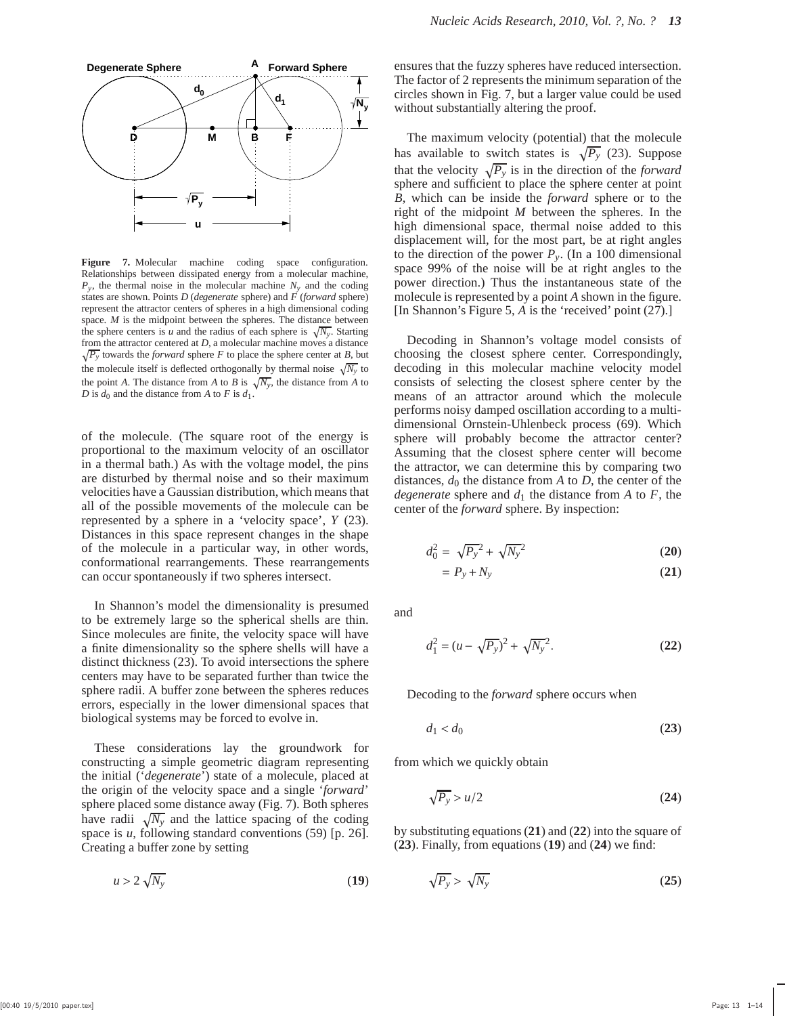

**Figure 7.** Molecular machine coding space configuration. Relationships between dissipated energy from a molecular machine,  $P_y$ , the thermal noise in the molecular machine  $N_y$  and the coding states are shown. Points *D* (*degenerate* sphere) and *F* (*forward* sphere) represent the attractor centers of spheres in a high dimensional coding space. *M* is the midpoint between the spheres. The distance between the sphere centers is *u* and the radius of each sphere is  $\sqrt{N_y}$ . Starting  $\sqrt{P_y}$  towards the *forward* sphere *F* to place the sphere center at *B*, but from the attractor centered at *D*, a molecular machine moves a distance the molecule itself is deflected orthogonally by thermal noise  $\sqrt{N_y}$  to the point *A*. The distance from *A* to *B* is  $\sqrt{N_y}$ , the distance from *A* to *D* is  $d_0$  and the distance from *A* to *F* is  $d_1$ .

of the molecule. (The square root of the energy is proportional to the maximum velocity of an oscillator in a thermal bath.) As with the voltage model, the pins are disturbed by thermal noise and so their maximum velocities have a Gaussian distribution, which means that all of the possible movements of the molecule can be represented by a sphere in a 'velocity space', *Y* (23). Distances in this space represent changes in the shape of the molecule in a particular way, in other words, conformational rearrangements. These rearrangements can occur spontaneously if two spheres intersect.

In Shannon's model the dimensionality is presumed to be extremely large so the spherical shells are thin. Since molecules are finite, the velocity space will have a finite dimensionality so the sphere shells will have a distinct thickness (23). To avoid intersections the sphere centers may have to be separated further than twice the sphere radii. A buffer zone between the spheres reduces errors, especially in the lower dimensional spaces that biological systems may be forced to evolve in.

These considerations lay the groundwork for constructing a simple geometric diagram representing the initial ('*degenerate*') state of a molecule, placed at the origin of the velocity space and a single '*forward*' sphere placed some distance away (Fig. 7). Both spheres have radii  $\sqrt{N_y}$  and the lattice spacing of the coding space is *u*, following standard conventions (59) [p. 26]. Creating a buffer zone by setting

$$
u > 2\sqrt{N_y} \tag{19}
$$

ensures that the fuzzy spheres have reduced intersection. The factor of 2 represents the minimum separation of the circles shown in Fig. 7, but a larger value could be used without substantially altering the proof.

The maximum velocity (potential) that the molecule has available to switch states is  $\sqrt{P_y}$  (23). Suppose that the velocity  $\sqrt{P_y}$  is in the direction of the *forward* sphere and sufficient to place the sphere center at point *B*, which can be inside the *forward* sphere or to the right of the midpoint *M* between the spheres. In the high dimensional space, thermal noise added to this displacement will, for the most part, be at right angles to the direction of the power  $P_y$ . (In a 100 dimensional space 99% of the noise will be at right angles to the power direction.) Thus the instantaneous state of the molecule is represented by a point *A* shown in the figure. [In Shannon's Figure 5, *A* is the 'received' point (27).]

Decoding in Shannon's voltage model consists of choosing the closest sphere center. Correspondingly, decoding in this molecular machine velocity model consists of selecting the closest sphere center by the means of an attractor around which the molecule performs noisy damped oscillation according to a multidimensional Ornstein-Uhlenbeck process (69). Which sphere will probably become the attractor center? Assuming that the closest sphere center will become the attractor, we can determine this by comparing two distances,  $d_0$  the distance from  $A$  to  $D$ , the center of the *degenerate* sphere and  $d_1$  the distance from *A* to *F*, the center of the *forward* sphere. By inspection:

$$
d_0^2 = \sqrt{P_y}^2 + \sqrt{N_y}^2 \tag{20}
$$

$$
= P_y + N_y \tag{21}
$$

and

$$
d_1^2 = (u - \sqrt{P_y})^2 + \sqrt{N_y^2}.
$$
 (22)

Decoding to the *forward* sphere occurs when

$$
d_1 < d_0 \tag{23}
$$

from which we quickly obtain

$$
\sqrt{P_y} > u/2 \tag{24}
$$

by substituting equations (**21**) and (**22**) into the square of (**23**). Finally, from equations (**19**) and (**24**) we find:

$$
\sqrt{P_y} > \sqrt{N_y} \tag{25}
$$